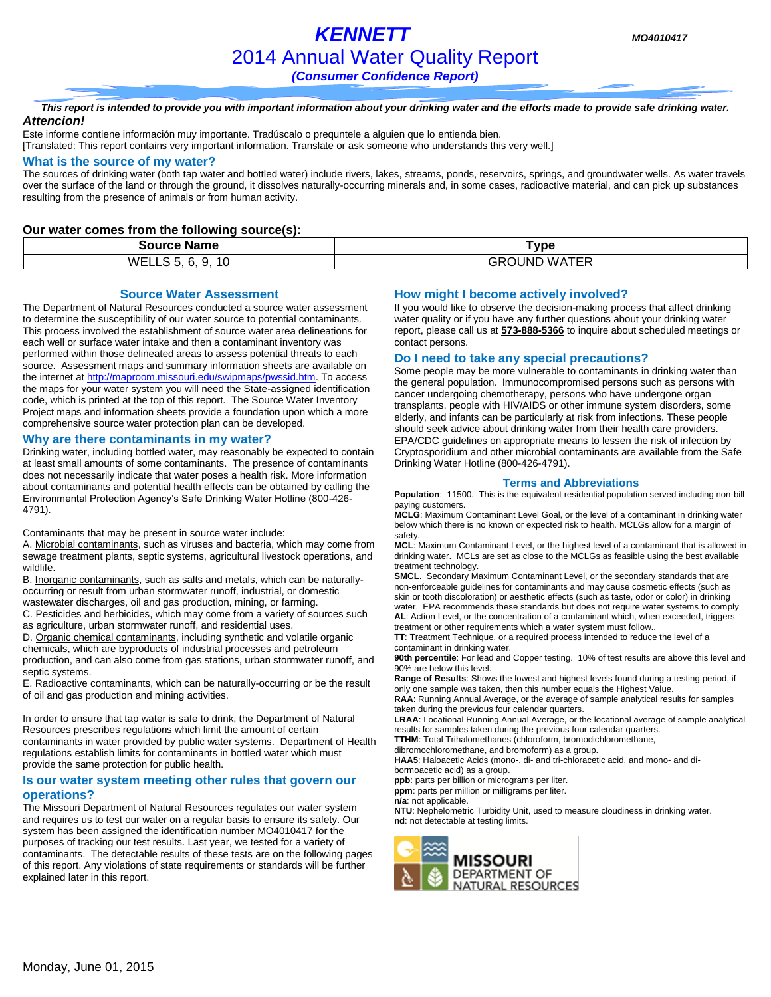# *KENNETT MO4010417* 2014 Annual Water Quality Report

*(Consumer Confidence Report)*

#### *This report is intended to provide you with important information about your drinking water and the efforts made to provide safe drinking water. Attencion!*

Este informe contiene información muy importante. Tradúscalo o prequntele a alguien que lo entienda bien. [Translated: This report contains very important information. Translate or ask someone who understands this very well.]

#### **What is the source of my water?**

The sources of drinking water (both tap water and bottled water) include rivers, lakes, streams, ponds, reservoirs, springs, and groundwater wells. As water travels over the surface of the land or through the ground, it dissolves naturally-occurring minerals and, in some cases, radioactive material, and can pick up substances resulting from the presence of animals or from human activity.

### **Our water comes from the following source(s):**

| $ -$<br><b>Source Name</b>                                            | Type                                     |
|-----------------------------------------------------------------------|------------------------------------------|
| <br>$\overline{\phantom{0}}$<br><b>WELLS</b><br>. .<br>1 U<br>u.<br>ີ | . . <i>.</i><br>GROUND<br>M A<br>--<br>. |

#### **Source Water Assessment**

The Department of Natural Resources conducted a source water assessment to determine the susceptibility of our water source to potential contaminants. This process involved the establishment of source water area delineations for each well or surface water intake and then a contaminant inventory was performed within those delineated areas to assess potential threats to each source. Assessment maps and summary information sheets are available on the internet a[t http://maproom.missouri.edu/swipmaps/pwssid.htm.](http://maproom.missouri.edu/swipmaps/pwssid.htm) To access the maps for your water system you will need the State-assigned identification code, which is printed at the top of this report. The Source Water Inventory Project maps and information sheets provide a foundation upon which a more comprehensive source water protection plan can be developed.

#### **Why are there contaminants in my water?**

Drinking water, including bottled water, may reasonably be expected to contain at least small amounts of some contaminants. The presence of contaminants does not necessarily indicate that water poses a health risk. More information about contaminants and potential health effects can be obtained by calling the Environmental Protection Agency's Safe Drinking Water Hotline (800-426- 4791).

Contaminants that may be present in source water include:

A. Microbial contaminants, such as viruses and bacteria, which may come from sewage treatment plants, septic systems, agricultural livestock operations, and wildlife.

B. Inorganic contaminants, such as salts and metals, which can be naturallyoccurring or result from urban stormwater runoff, industrial, or domestic wastewater discharges, oil and gas production, mining, or farming.

C. Pesticides and herbicides, which may come from a variety of sources such as agriculture, urban stormwater runoff, and residential uses.

D. Organic chemical contaminants, including synthetic and volatile organic chemicals, which are byproducts of industrial processes and petroleum production, and can also come from gas stations, urban stormwater runoff, and septic systems.

E. Radioactive contaminants, which can be naturally-occurring or be the result of oil and gas production and mining activities.

In order to ensure that tap water is safe to drink, the Department of Natural Resources prescribes regulations which limit the amount of certain contaminants in water provided by public water systems. Department of Health regulations establish limits for contaminants in bottled water which must provide the same protection for public health.

#### **Is our water system meeting other rules that govern our operations?**

The Missouri Department of Natural Resources regulates our water system and requires us to test our water on a regular basis to ensure its safety. Our system has been assigned the identification number MO4010417 for the purposes of tracking our test results. Last year, we tested for a variety of contaminants. The detectable results of these tests are on the following pages of this report. Any violations of state requirements or standards will be further explained later in this report.

### **How might I become actively involved?**

If you would like to observe the decision-making process that affect drinking water quality or if you have any further questions about your drinking water report, please call us at **573-888-5366** to inquire about scheduled meetings or contact persons.

#### **Do I need to take any special precautions?**

Some people may be more vulnerable to contaminants in drinking water than the general population. Immunocompromised persons such as persons with cancer undergoing chemotherapy, persons who have undergone organ transplants, people with HIV/AIDS or other immune system disorders, some elderly, and infants can be particularly at risk from infections. These people should seek advice about drinking water from their health care providers. EPA/CDC guidelines on appropriate means to lessen the risk of infection by Cryptosporidium and other microbial contaminants are available from the Safe Drinking Water Hotline (800-426-4791).

#### **Terms and Abbreviations**

**Population**: 11500. This is the equivalent residential population served including non-bill paying customers.

**MCLG**: Maximum Contaminant Level Goal, or the level of a contaminant in drinking water below which there is no known or expected risk to health. MCLGs allow for a margin of safety.

**MCL**: Maximum Contaminant Level, or the highest level of a contaminant that is allowed in drinking water. MCLs are set as close to the MCLGs as feasible using the best available treatment technology.

**SMCL**. Secondary Maximum Contaminant Level, or the secondary standards that are non-enforceable guidelines for contaminants and may cause cosmetic effects (such as skin or tooth discoloration) or aesthetic effects (such as taste, odor or color) in drinking water. EPA recommends these standards but does not require water systems to comply **AL**: Action Level, or the concentration of a contaminant which, when exceeded, triggers

treatment or other requirements which a water system must follow.. **TT**: Treatment Technique, or a required process intended to reduce the level of a contaminant in drinking water.

**90th percentile**: For lead and Copper testing. 10% of test results are above this level and 90% are below this level.

**Range of Results**: Shows the lowest and highest levels found during a testing period, if only one sample was taken, then this number equals the Highest Value.

**RAA**: Running Annual Average, or the average of sample analytical results for samples taken during the previous four calendar quarters.

**LRAA**: Locational Running Annual Average, or the locational average of sample analytical results for samples taken during the previous four calendar quarters.

**TTHM**: Total Trihalomethanes (chloroform, bromodichloromethane,

dibromochloromethane, and bromoform) as a group.

**HAA5**: Haloacetic Acids (mono-, di- and tri-chloracetic acid, and mono- and dibormoacetic acid) as a group.

**ppb**: parts per billion or micrograms per liter.

**ppm**: parts per million or milligrams per liter.

**n/a**: not applicable.

**NTU**: Nephelometric Turbidity Unit, used to measure cloudiness in drinking water. **nd**: not detectable at testing limits.

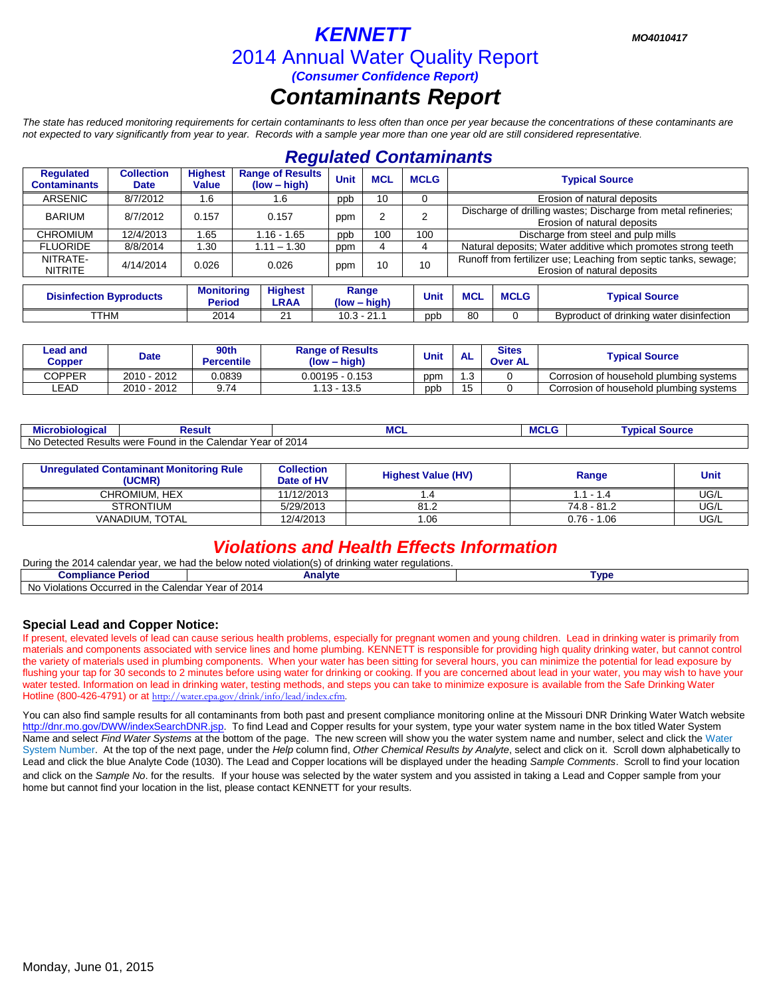# *KENNETT MO4010417* 2014 Annual Water Quality Report *(Consumer Confidence Report) Contaminants Report*

*The state has reduced monitoring requirements for certain contaminants to less often than once per year because the concentrations of these contaminants are not expected to vary significantly from year to year. Records with a sample year more than one year old are still considered representative.*

| <b>Regulated Contaminants</b>    |                                  |                                |                                                                     |               |                         |             |                                                                                                |             |                                          |  |
|----------------------------------|----------------------------------|--------------------------------|---------------------------------------------------------------------|---------------|-------------------------|-------------|------------------------------------------------------------------------------------------------|-------------|------------------------------------------|--|
| Regulated<br><b>Contaminants</b> | <b>Collection</b><br><b>Date</b> | <b>Highest</b><br><b>Value</b> | <b>Range of Results</b><br>(low – high)                             | <b>Unit</b>   | <b>MCL</b>              | <b>MCLG</b> | <b>Typical Source</b>                                                                          |             |                                          |  |
| <b>ARSENIC</b>                   | 8/7/2012                         | 1.6                            | 1.6                                                                 | ppb           | 10                      |             |                                                                                                |             | Erosion of natural deposits              |  |
| <b>BARIUM</b>                    | 8/7/2012                         | 0.157                          | 0.157                                                               | ppm           | 2                       |             | Discharge of drilling wastes; Discharge from metal refineries;<br>Erosion of natural deposits  |             |                                          |  |
| <b>CHROMIUM</b>                  | 12/4/2013                        | 1.65                           | $1.16 - 1.65$                                                       | ppb           | 100                     | 100         | Discharge from steel and pulp mills                                                            |             |                                          |  |
| <b>FLUORIDE</b>                  | 8/8/2014                         | 1.30                           | $1.11 - 1.30$                                                       | ppm           |                         | 4           | Natural deposits; Water additive which promotes strong teeth                                   |             |                                          |  |
| NITRATE-<br><b>NITRITE</b>       | 4/14/2014                        | 0.026                          | 0.026                                                               | ppm           | 10                      | 10          | Runoff from fertilizer use; Leaching from septic tanks, sewage;<br>Erosion of natural deposits |             |                                          |  |
|                                  |                                  |                                |                                                                     |               |                         |             |                                                                                                |             |                                          |  |
| <b>Disinfection Byproducts</b>   |                                  |                                | <b>Monitoring</b><br><b>Highest</b><br><b>Period</b><br><b>LRAA</b> |               | Range<br>$(low - high)$ |             | <b>MCL</b>                                                                                     | <b>MCLG</b> | <b>Typical Source</b>                    |  |
| <b>TTHM</b>                      |                                  | 2014                           | 21                                                                  | $10.3 - 21.1$ |                         | ppb         | 80                                                                                             | $\Omega$    | Byproduct of drinking water disinfection |  |

| Lead and<br>Copper | <b>Date</b> | 90th<br>Percentile | <b>Range of Results</b><br>(low – high) |     | $\Lambda$<br>ль | <b>Sites</b><br><b>Over AL</b> | <b>Typical Source</b>                   |  |
|--------------------|-------------|--------------------|-----------------------------------------|-----|-----------------|--------------------------------|-----------------------------------------|--|
| COPPER             | 2010 - 2012 | 0.0839             | $0.00195 - 0.153$                       | ppm | ں.              |                                | Corrosion of household plumbing systems |  |
| LEAD               | 2010 - 2012 | 0. 71              | $.13 - 13.5$                            | ppb | 15<br>Ιu        |                                | Corrosion of household plumbing systems |  |

| obiologica<br>ліс                             | Resul'                                                                                  | $-$<br>ш            | <b>WDICA</b><br>י שטוויים ידי |
|-----------------------------------------------|-----------------------------------------------------------------------------------------|---------------------|-------------------------------|
| No.<br>$+0.0100$<br>Results<br>י −ייי טש∪ט בי | ⊧the<br>`olondor<br>$V \cap T$<br>were<br>-ound in<br>ienual<br>va<br>ı <del>c</del> aı | 2014<br>$\sim$<br>υ |                               |

| <b>Unregulated Contaminant Monitoring Rule</b><br>(UCMR) | <b>Collection</b><br>Date of HV | <b>Highest Value (HV)</b> | Range         | <b>Unit</b> |
|----------------------------------------------------------|---------------------------------|---------------------------|---------------|-------------|
| CHROMIUM. HEX                                            | 11/12/2013                      |                           | $1.1 - 1.4$   | UG/L        |
| <b>STRONTIUM</b>                                         | 5/29/2013                       | 81.2                      | 74.8 - 81.2   | UG/L        |
| VANADIUM. TOTAL                                          | 12/4/2013                       | .06                       | $0.76 - 1.06$ | UG/L        |

# *Violations and Health Effects Information*

During the 2014 calendar year, we had the below noted violation(s) of drinking water regulations.

| Analyt <sup>.</sup><br>.<br>∙erio⊾<br>Compliance                                  |                                         | <b>Tvpe</b> |  |  |
|-----------------------------------------------------------------------------------|-----------------------------------------|-------------|--|--|
| <b>No</b><br>Calendar<br>. Violations ′<br>Occurred in<br>າ the<br>$\sim 10^{-7}$ | 2014<br>$V \cap T$<br>$\sim$<br>ca<br>v |             |  |  |

### **Special Lead and Copper Notice:**

If present, elevated levels of lead can cause serious health problems, especially for pregnant women and young children. Lead in drinking water is primarily from materials and components associated with service lines and home plumbing. KENNETT is responsible for providing high quality drinking water, but cannot control the variety of materials used in plumbing components. When your water has been sitting for several hours, you can minimize the potential for lead exposure by flushing your tap for 30 seconds to 2 minutes before using water for drinking or cooking. If you are concerned about lead in your water, you may wish to have your water tested. Information on lead in drinking water, testing methods, and steps you can take to minimize exposure is available from the Safe Drinking Water Hotline (800-426-4791) or at [http://water.epa.gov/drink/info/lead/index.cfm.](http://water.epa.gov/drink/info/lead/index.cfm)

You can also find sample results for all contaminants from both past and present compliance monitoring online at the Missouri DNR Drinking Water Watch website [http://dnr.mo.gov/DWW/indexSearchDNR.jsp.](http://dnr.mo.gov/DWW/indexSearchDNR.jsp) To find Lead and Copper results for your system, type your water system name in the box titled Water System Name and select *Find Water Systems* at the bottom of the page. The new screen will show you the water system name and number, select and click the Water System Number. At the top of the next page, under the *Help* column find, *Other Chemical Results by Analyte*, select and click on it. Scroll down alphabetically to Lead and click the blue Analyte Code (1030). The Lead and Copper locations will be displayed under the heading *Sample Comments*. Scroll to find your location and click on the *Sample No*. for the results. If your house was selected by the water system and you assisted in taking a Lead and Copper sample from your home but cannot find your location in the list, please contact KENNETT for your results.